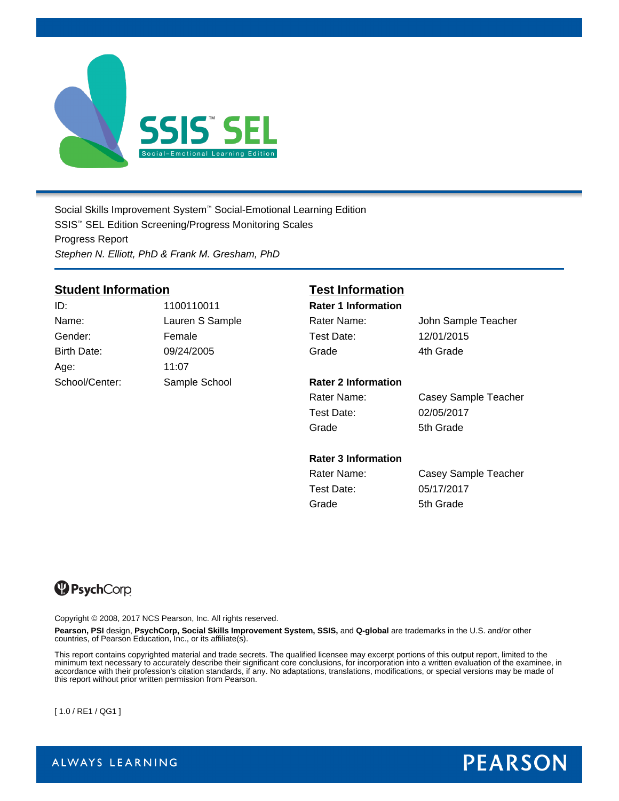

Social Skills Improvement System™ Social-Emotional Learning Edition SSIS<sup>™</sup> SEL Edition Screening/Progress Monitoring Scales Progress Report *Stephen N. Elliott, PhD & Frank M. Gresham, PhD*

## **Student Information Test Information**

| ID:            | 1100110011      | <b>Rater 1 Information</b> |            |
|----------------|-----------------|----------------------------|------------|
| Name:          | Lauren S Sample | Rater Name:                | John Samp  |
| Gender:        | Female          | Test Date:                 | 12/01/2015 |
| Birth Date:    | 09/24/2005      | Grade                      | 4th Grade  |
| Age:           | 11:07           |                            |            |
| School/Center: | Sample School   | <b>Rater 2 Information</b> |            |

#### ID: 1100110011 **Rater 1 Information**

Indeed Sample **Rater Name:** John Sample Teacher

#### mple School **Rater 2 Information**

Test Date: 02/05/2017 Grade 5th Grade

Rater Name: Casey Sample Teacher

### **Rater 3 Information**

Rater Name: Casey Sample Teacher Test Date: 05/17/2017 Grade 5th Grade

# **PsychCorp**

Copyright © 2008, 2017 NCS Pearson, Inc. All rights reserved.

**Pearson, PSI** design, **PsychCorp, Social Skills Improvement System, SSIS,** and **Q-global** are trademarks in the U.S. and/or other countries, of Pearson Education, Inc., or its affiliate(s).

This report contains copyrighted material and trade secrets. The qualified licensee may excerpt portions of this output report, limited to the minimum text necessary to accurately describe their significant core conclusions, for incorporation into a written evaluation of the examinee, in accordance with their profession's citation standards, if any. No adaptations, translations, modifications, or special versions may be made of this report without prior written permission from Pearson.

[ 1.0 / RE1 / QG1 ]

**PEARSON** 

ALWAYS LEARNING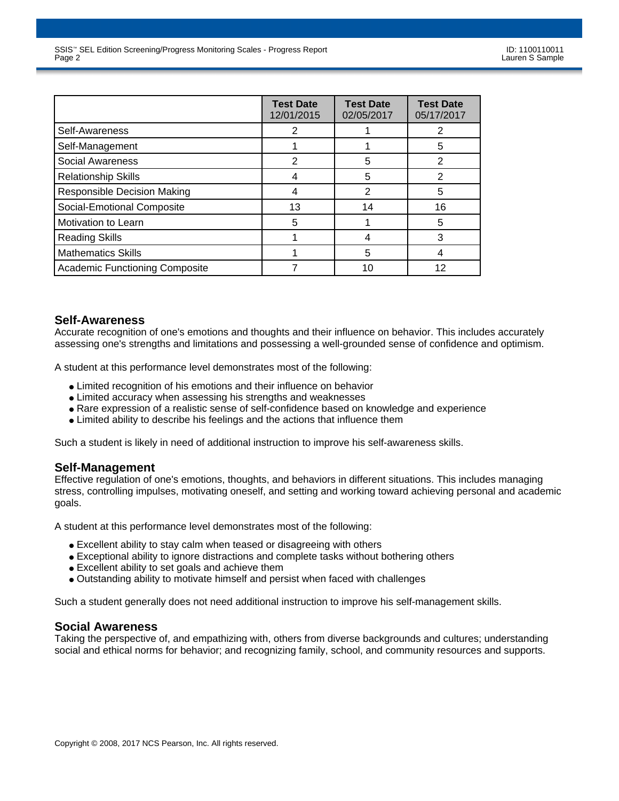|                                       | <b>Test Date</b><br>12/01/2015 | <b>Test Date</b><br>02/05/2017 | <b>Test Date</b><br>05/17/2017 |
|---------------------------------------|--------------------------------|--------------------------------|--------------------------------|
| Self-Awareness                        | 2                              |                                |                                |
| Self-Management                       |                                |                                | 5                              |
| <b>Social Awareness</b>               | 2                              | 5                              | 2                              |
| <b>Relationship Skills</b>            |                                | 5                              | 2                              |
| <b>Responsible Decision Making</b>    |                                | 2                              | 5                              |
| Social-Emotional Composite            | 13                             | 14                             | 16                             |
| Motivation to Learn                   | 5                              |                                | 5                              |
| <b>Reading Skills</b>                 |                                |                                |                                |
| <b>Mathematics Skills</b>             |                                | 5                              |                                |
| <b>Academic Functioning Composite</b> |                                | 10                             | 12                             |

# **Self-Awareness**

Accurate recognition of one's emotions and thoughts and their influence on behavior. This includes accurately assessing one's strengths and limitations and possessing a well-grounded sense of confidence and optimism.

A student at this performance level demonstrates most of the following:

- Limited recognition of his emotions and their influence on behavior
- Limited accuracy when assessing his strengths and weaknesses
- Rare expression of a realistic sense of self-confidence based on knowledge and experience
- Limited ability to describe his feelings and the actions that influence them

Such a student is likely in need of additional instruction to improve his self-awareness skills.

#### **Self-Management**

Effective regulation of one's emotions, thoughts, and behaviors in different situations. This includes managing stress, controlling impulses, motivating oneself, and setting and working toward achieving personal and academic goals.

A student at this performance level demonstrates most of the following:

- Excellent ability to stay calm when teased or disagreeing with others
- Exceptional ability to ignore distractions and complete tasks without bothering others
- Excellent ability to set goals and achieve them
- Outstanding ability to motivate himself and persist when faced with challenges

Such a student generally does not need additional instruction to improve his self-management skills.

# **Social Awareness**

Taking the perspective of, and empathizing with, others from diverse backgrounds and cultures; understanding social and ethical norms for behavior; and recognizing family, school, and community resources and supports.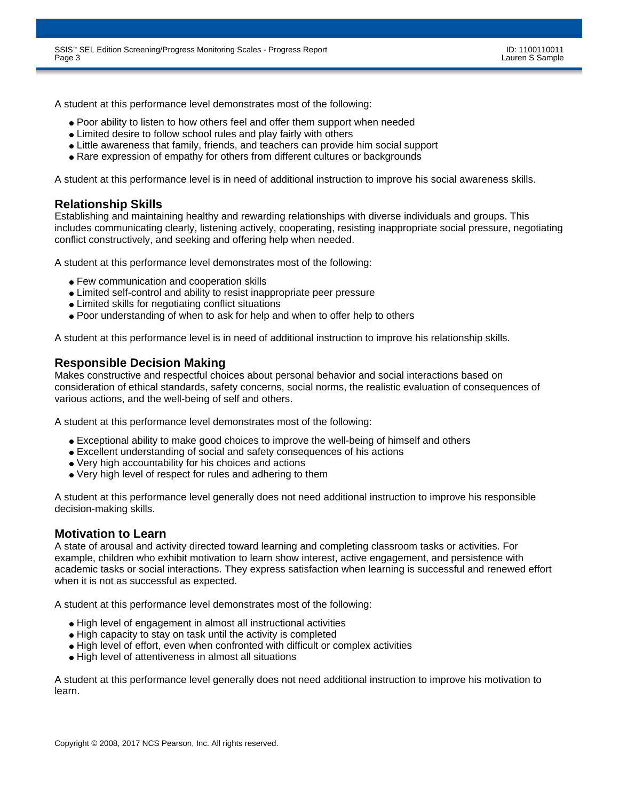A student at this performance level demonstrates most of the following:

- Poor ability to listen to how others feel and offer them support when needed
- Limited desire to follow school rules and play fairly with others
- Little awareness that family, friends, and teachers can provide him social support
- Rare expression of empathy for others from different cultures or backgrounds

A student at this performance level is in need of additional instruction to improve his social awareness skills.

# **Relationship Skills**

Establishing and maintaining healthy and rewarding relationships with diverse individuals and groups. This includes communicating clearly, listening actively, cooperating, resisting inappropriate social pressure, negotiating conflict constructively, and seeking and offering help when needed.

A student at this performance level demonstrates most of the following:

- Few communication and cooperation skills
- Limited self-control and ability to resist inappropriate peer pressure
- Limited skills for negotiating conflict situations
- Poor understanding of when to ask for help and when to offer help to others

A student at this performance level is in need of additional instruction to improve his relationship skills.

# **Responsible Decision Making**

Makes constructive and respectful choices about personal behavior and social interactions based on consideration of ethical standards, safety concerns, social norms, the realistic evaluation of consequences of various actions, and the well-being of self and others.

A student at this performance level demonstrates most of the following:

- Exceptional ability to make good choices to improve the well-being of himself and others
- Excellent understanding of social and safety consequences of his actions
- Very high accountability for his choices and actions
- Very high level of respect for rules and adhering to them

A student at this performance level generally does not need additional instruction to improve his responsible decision-making skills.

# **Motivation to Learn**

A state of arousal and activity directed toward learning and completing classroom tasks or activities. For example, children who exhibit motivation to learn show interest, active engagement, and persistence with academic tasks or social interactions. They express satisfaction when learning is successful and renewed effort when it is not as successful as expected.

A student at this performance level demonstrates most of the following:

- High level of engagement in almost all instructional activities
- High capacity to stay on task until the activity is completed
- High level of effort, even when confronted with difficult or complex activities
- High level of attentiveness in almost all situations

A student at this performance level generally does not need additional instruction to improve his motivation to learn.